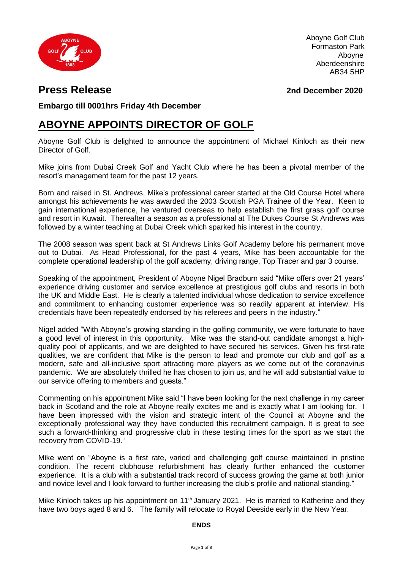

Aboyne Golf Club Formaston Park Aboyne Aberdeenshire AB34 5HP

## **Press Release 2nd December 2020**

**Embargo till 0001hrs Friday 4th December**

# **ABOYNE APPOINTS DIRECTOR OF GOLF**

Aboyne Golf Club is delighted to announce the appointment of Michael Kinloch as their new Director of Golf.

Mike joins from Dubai Creek Golf and Yacht Club where he has been a pivotal member of the resort's management team for the past 12 years.

Born and raised in St. Andrews, Mike's professional career started at the Old Course Hotel where amongst his achievements he was awarded the 2003 Scottish PGA Trainee of the Year. Keen to gain international experience, he ventured overseas to help establish the first grass golf course and resort in Kuwait. Thereafter a season as a professional at The Dukes Course St Andrews was followed by a winter teaching at Dubai Creek which sparked his interest in the country.

The 2008 season was spent back at St Andrews Links Golf Academy before his permanent move out to Dubai. As Head Professional, for the past 4 years, Mike has been accountable for the complete operational leadership of the golf academy, driving range, Top Tracer and par 3 course.

Speaking of the appointment, President of Aboyne Nigel Bradburn said "Mike offers over 21 years' experience driving customer and service excellence at prestigious golf clubs and resorts in both the UK and Middle East. He is clearly a talented individual whose dedication to service excellence and commitment to enhancing customer experience was so readily apparent at interview. His credentials have been repeatedly endorsed by his referees and peers in the industry."

Nigel added "With Aboyne's growing standing in the golfing community, we were fortunate to have a good level of interest in this opportunity. Mike was the stand-out candidate amongst a highquality pool of applicants, and we are delighted to have secured his services. Given his first-rate qualities, we are confident that Mike is the person to lead and promote our club and golf as a modern, safe and all-inclusive sport attracting more players as we come out of the coronavirus pandemic. We are absolutely thrilled he has chosen to join us, and he will add substantial value to our service offering to members and guests."

Commenting on his appointment Mike said "I have been looking for the next challenge in my career back in Scotland and the role at Aboyne really excites me and is exactly what I am looking for. I have been impressed with the vision and strategic intent of the Council at Aboyne and the exceptionally professional way they have conducted this recruitment campaign. It is great to see such a forward-thinking and progressive club in these testing times for the sport as we start the recovery from COVID-19."

Mike went on "Aboyne is a first rate, varied and challenging golf course maintained in pristine condition. The recent clubhouse refurbishment has clearly further enhanced the customer experience. It is a club with a substantial track record of success growing the game at both junior and novice level and I look forward to further increasing the club's profile and national standing."

Mike Kinloch takes up his appointment on 11<sup>th</sup> January 2021. He is married to Katherine and they have two boys aged 8 and 6. The family will relocate to Royal Deeside early in the New Year.

#### **ENDS**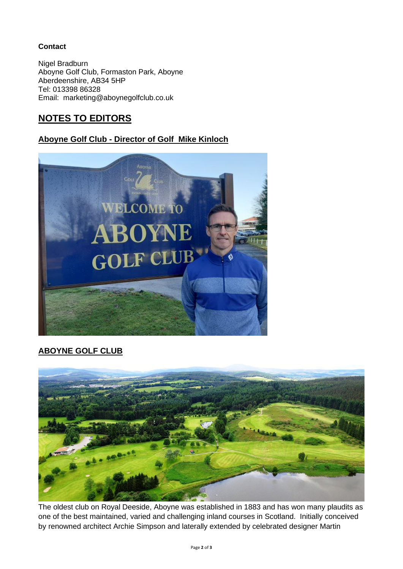### **Contact**

Nigel Bradburn Aboyne Golf Club, Formaston Park, Aboyne Aberdeenshire, AB34 5HP Tel: 013398 86328 Email: marketing@aboynegolfclub.co.uk

### **NOTES TO EDITORS**

### **Aboyne Golf Club - Director of Golf Mike Kinloch**



### **ABOYNE GOLF CLUB**



The oldest club on Royal Deeside, Aboyne was established in 1883 and has won many plaudits as one of the best maintained, varied and challenging inland courses in Scotland. Initially conceived by renowned architect Archie Simpson and laterally extended by celebrated designer Martin